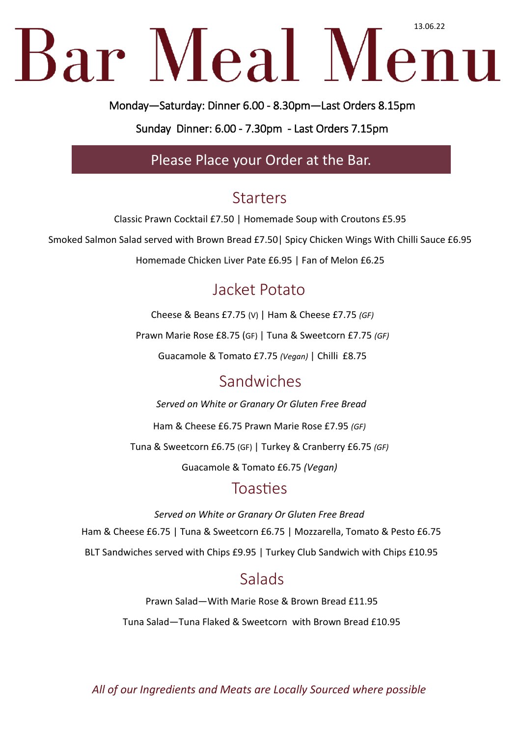# Bar Meal Menu

Monday—Saturday: Dinner 6.00 - 8.30pm—Last Orders 8.15pm

Sunday Dinner: 6.00 - 7.30pm - Last Orders 7.15pm

Please Place your Order at the Bar.

### **Starters**

Classic Prawn Cocktail £7.50 | Homemade Soup with Croutons £5.95

Smoked Salmon Salad served with Brown Bread £7.50| Spicy Chicken Wings With Chilli Sauce £6.95

Homemade Chicken Liver Pate £6.95 | Fan of Melon £6.25

# Jacket Potato

Cheese & Beans £7.75 (V) | Ham & Cheese £7.75 *(GF)* Prawn Marie Rose £8.75 (GF) | Tuna & Sweetcorn £7.75 *(GF)* Guacamole & Tomato £7.75 *(Vegan)* | Chilli £8.75

### Sandwiches

*Served on White or Granary Or Gluten Free Bread*

Ham & Cheese £6.75 Prawn Marie Rose £7.95 *(GF)*

Tuna & Sweetcorn £6.75 (GF) | Turkey & Cranberry £6.75 *(GF)* 

Guacamole & Tomato £6.75 *(Vegan)*

#### Toasties

*Served on White or Granary Or Gluten Free Bread* Ham & Cheese £6.75 | Tuna & Sweetcorn £6.75 | Mozzarella, Tomato & Pesto £6.75 BLT Sandwiches served with Chips £9.95 | Turkey Club Sandwich with Chips £10.95

### Salads

Prawn Salad—With Marie Rose & Brown Bread £11.95 Tuna Salad—Tuna Flaked & Sweetcorn with Brown Bread £10.95

*All of our Ingredients and Meats are Locally Sourced where possible*